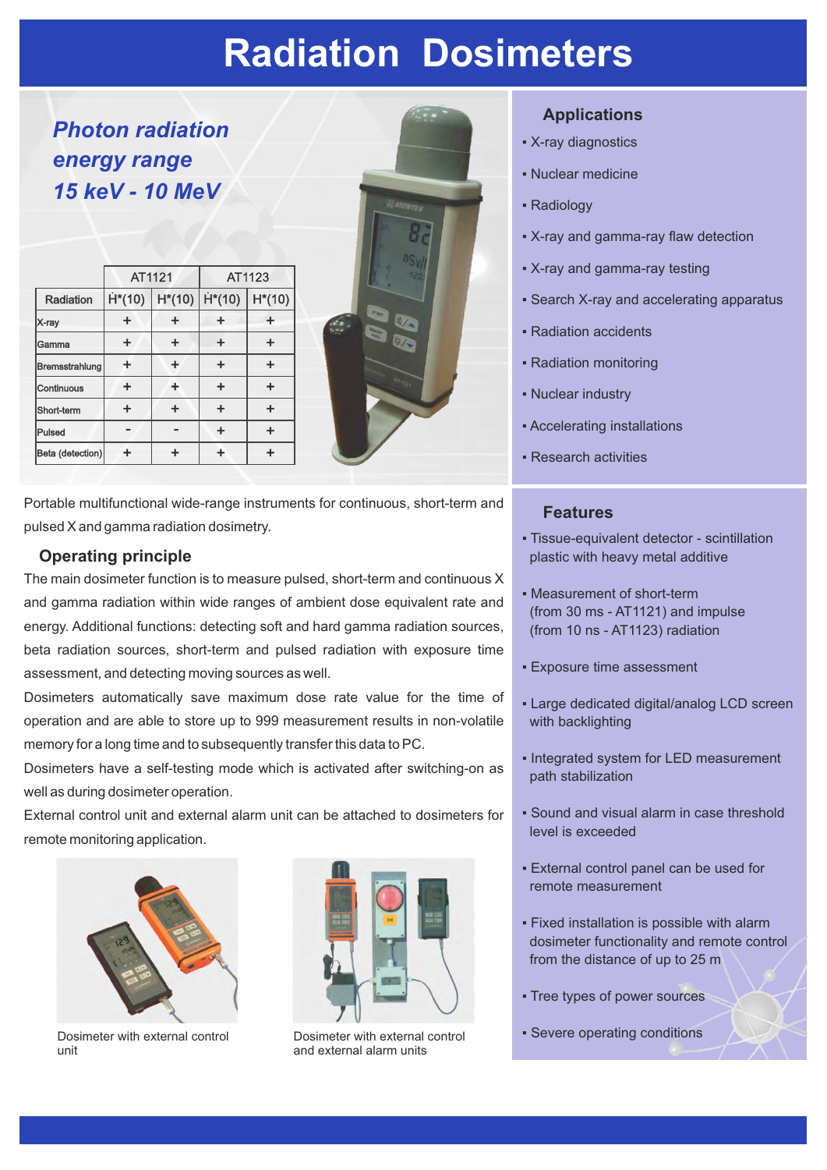## **Radiation Dosimeters**

*Photon radiation energy range 15 keV - 10 MeV*

|                  | AT1121   |           | AT1123   |          |
|------------------|----------|-----------|----------|----------|
| Radiation        | $H*(10)$ | $H^*(10)$ | $H*(10)$ | $H*(10)$ |
| X-ray            | ÷        | ÷         | ÷        |          |
| Gamma            | ÷        | ÷         | ÷        | ÷        |
| Bremsstrahlung   | ÷        | ÷         | ÷        | ÷        |
| Continuous       | ÷        | ÷         | ÷        | ÷        |
| Short-term       | ÷        | ÷         | ÷        | ÷        |
| Pulsed           | -        |           | ÷        | ÷        |
| Beta (detection) |          |           | ┹        | ┻        |



Portable multifunctional wide-range instruments for continuous, short-term and pulsed X and gamma radiation dosimetry.

### **Operating principle**

The main dosimeter function is to measure pulsed, short-term and continuous X and gamma radiation within wide ranges of ambient dose equivalent rate and energy. Additional functions: detecting soft and hard gamma radiation sources, beta radiation sources, short-term and pulsed radiation with exposure time assessment, and detecting moving sources as well.

Dosimeters automatically save maximum dose rate value for the time of operation and are able to store up to 999 measurement results in non-volatile memory for a long time and to subsequently transfer this data to PC.

Dosimeters have a self-testing mode which is activated after switching-on as well as during dosimeter operation.

External control unit and external alarm unit can be attached to dosimeters for remote monitoring application.



Dosimeter with external control unit



Dosimeter with external control and external alarm units

#### **Applications**

- X-ray diagnostics
- Nuclear medicine
- Radiology
- X-ray and gamma-ray flaw detection
- X-ray and gamma-ray testing
- **Search X-ray and accelerating apparatus**
- Radiation accidents
- Radiation monitoring
- Nuclear industry
- Accelerating installations
- Research activities

#### **Features**

- Tissue-equivalent detector scintillation plastic with heavy metal additive
- Measurement of short-term (from 30 ms - AT1121) and impulse (from 10 ns - AT1123) radiation
- **Exposure time assessment**
- **Large dedicated digital/analog LCD screen** with backlighting
- Integrated system for LED measurement path stabilization
- Sound and visual alarm in case threshold level is exceeded
- **External control panel can be used for** remote measurement
- Fixed installation is possible with alarm dosimeter functionality and remote control from the distance of up to 25 m
- Tree types of power sources
- Severe operating conditions